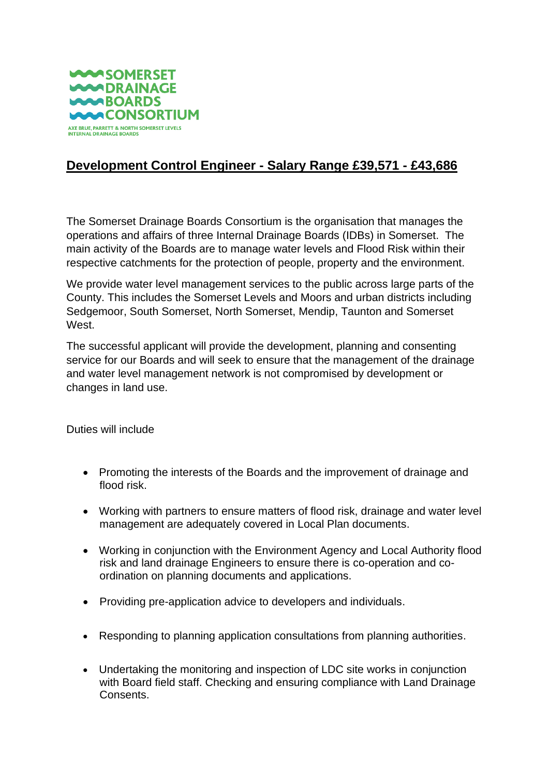

## **Development Control Engineer - Salary Range £39,571 - £43,686**

The Somerset Drainage Boards Consortium is the organisation that manages the operations and affairs of three Internal Drainage Boards (IDBs) in Somerset. The main activity of the Boards are to manage water levels and Flood Risk within their respective catchments for the protection of people, property and the environment.

We provide water level management services to the public across large parts of the County. This includes the Somerset Levels and Moors and urban districts including Sedgemoor, South Somerset, North Somerset, Mendip, Taunton and Somerset West.

The successful applicant will provide the development, planning and consenting service for our Boards and will seek to ensure that the management of the drainage and water level management network is not compromised by development or changes in land use.

Duties will include

- Promoting the interests of the Boards and the improvement of drainage and flood risk.
- Working with partners to ensure matters of flood risk, drainage and water level management are adequately covered in Local Plan documents.
- Working in conjunction with the Environment Agency and Local Authority flood risk and land drainage Engineers to ensure there is co-operation and coordination on planning documents and applications.
- Providing pre-application advice to developers and individuals.
- Responding to planning application consultations from planning authorities.
- Undertaking the monitoring and inspection of LDC site works in conjunction with Board field staff. Checking and ensuring compliance with Land Drainage Consents.